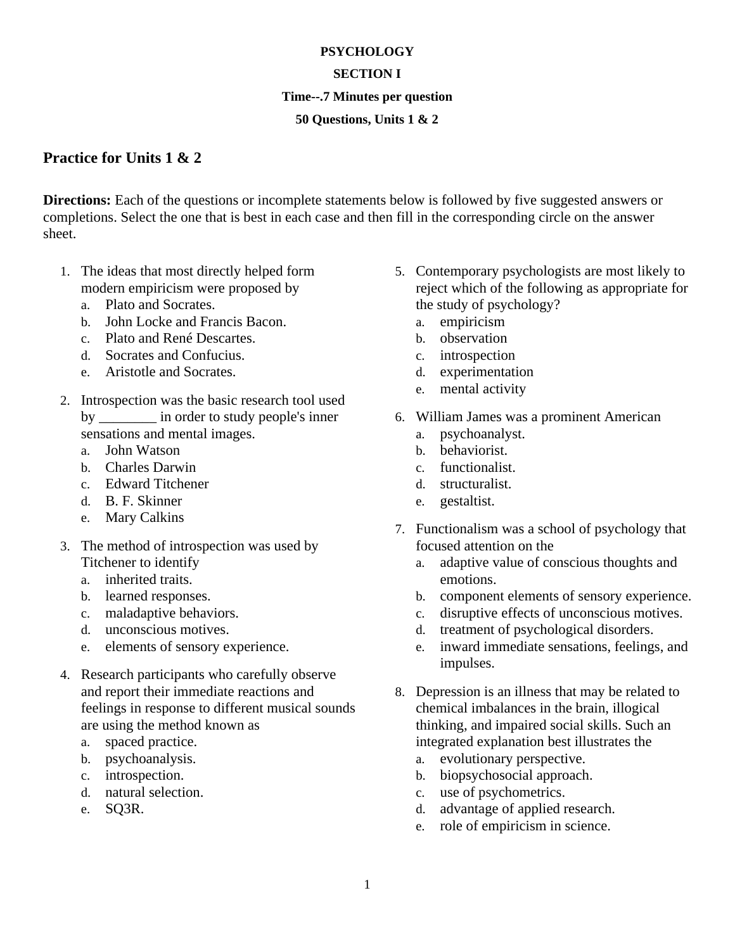## **PSYCHOLOGY**

## **SECTION I**

### **Time--.7 Minutes per question**

## **50 Questions, Units 1 & 2**

# **Practice for Units 1 & 2**

**Directions:** Each of the questions or incomplete statements below is followed by five suggested answers or completions. Select the one that is best in each case and then fill in the corresponding circle on the answer sheet.

- 1. The ideas that most directly helped form modern empiricism were proposed by
	- a. Plato and Socrates.
	- b. John Locke and Francis Bacon.
	- c. Plato and René Descartes.
	- d. Socrates and Confucius.
	- e. Aristotle and Socrates.
- 2. Introspection was the basic research tool used by \_\_\_\_\_\_\_\_\_ in order to study people's inner sensations and mental images.
	- a. John Watson
	- b. Charles Darwin
	- c. Edward Titchener
	- d. B. F. Skinner
	- e. Mary Calkins
- 3. The method of introspection was used by Titchener to identify
	- a. inherited traits.
	- b. learned responses.
	- c. maladaptive behaviors.
	- d. unconscious motives.
	- e. elements of sensory experience.
- 4. Research participants who carefully observe and report their immediate reactions and feelings in response to different musical sounds are using the method known as
	- a. spaced practice.
	- b. psychoanalysis.
	- c. introspection.
	- d. natural selection.
	- e. SQ3R.
- 5. Contemporary psychologists are most likely to reject which of the following as appropriate for the study of psychology?
	- a. empiricism
	- b. observation
	- c. introspection
	- d. experimentation
	- e. mental activity
- 6. William James was a prominent American
	- a. psychoanalyst.
	- b. behaviorist.
	- c. functionalist.
	- d. structuralist.
	- e. gestaltist.
- 7. Functionalism was a school of psychology that focused attention on the
	- a. adaptive value of conscious thoughts and emotions.
	- b. component elements of sensory experience.
	- c. disruptive effects of unconscious motives.
	- d. treatment of psychological disorders.
	- e. inward immediate sensations, feelings, and impulses.
- 8. Depression is an illness that may be related to chemical imbalances in the brain, illogical thinking, and impaired social skills. Such an integrated explanation best illustrates the
	- a. evolutionary perspective.
	- b. biopsychosocial approach.
	- c. use of psychometrics.
	- d. advantage of applied research.
	- e. role of empiricism in science.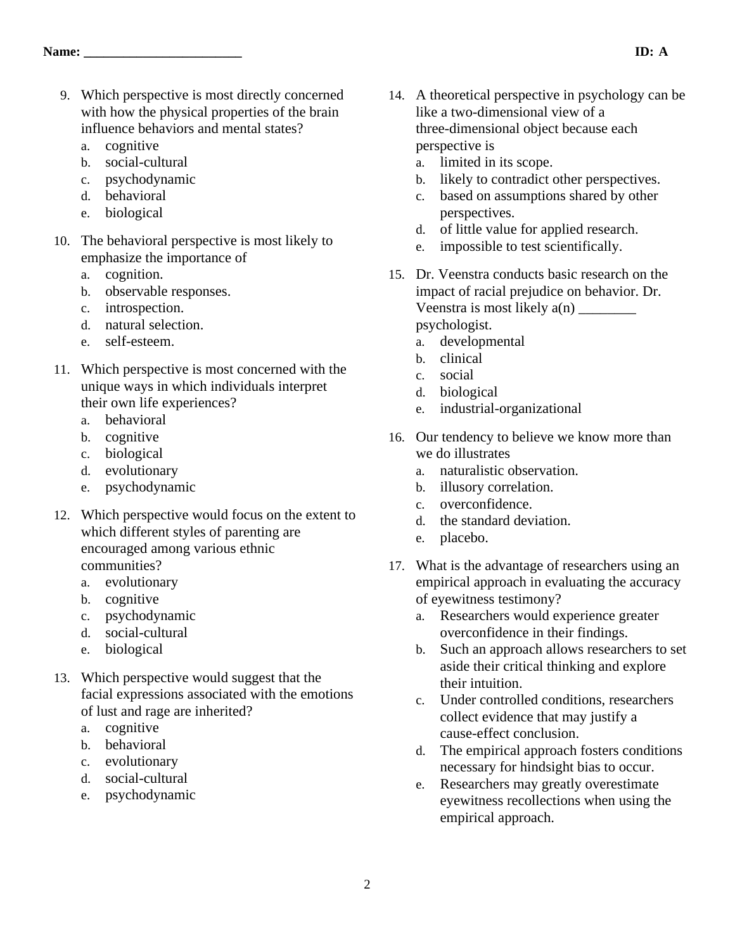- 9. Which perspective is most directly concerned with how the physical properties of the brain influence behaviors and mental states?
	- a. cognitive
	- b. social-cultural
	- c. psychodynamic
	- d. behavioral
	- e. biological
- 10. The behavioral perspective is most likely to emphasize the importance of
	- a. cognition.
	- b. observable responses.
	- c. introspection.
	- d. natural selection.
	- e. self-esteem.
- 11. Which perspective is most concerned with the unique ways in which individuals interpret their own life experiences?
	- a. behavioral
	- b. cognitive
	- c. biological
	- d. evolutionary
	- e. psychodynamic
- 12. Which perspective would focus on the extent to which different styles of parenting are encouraged among various ethnic communities?
	- a. evolutionary
	- b. cognitive
	- c. psychodynamic
	- d. social-cultural
	- e. biological
- 13. Which perspective would suggest that the facial expressions associated with the emotions of lust and rage are inherited?
	- a. cognitive
	- b. behavioral
	- c. evolutionary
	- d. social-cultural
	- e. psychodynamic
- 14. A theoretical perspective in psychology can be like a two-dimensional view of a three-dimensional object because each perspective is
	- a. limited in its scope.
	- b. likely to contradict other perspectives.
	- c. based on assumptions shared by other perspectives.
	- d. of little value for applied research.
	- e. impossible to test scientifically.
- 15. Dr. Veenstra conducts basic research on the impact of racial prejudice on behavior. Dr. Veenstra is most likely a(n) \_\_\_\_\_\_\_\_ psychologist.
	- a. developmental
	- b. clinical
	- c. social
	- d. biological
	- e. industrial-organizational
- 16. Our tendency to believe we know more than we do illustrates
	- a. naturalistic observation.
	- b. illusory correlation.
	- c. overconfidence.
	- d. the standard deviation.
	- e. placebo.
- 17. What is the advantage of researchers using an empirical approach in evaluating the accuracy of eyewitness testimony?
	- a. Researchers would experience greater overconfidence in their findings.
	- b. Such an approach allows researchers to set aside their critical thinking and explore their intuition.
	- c. Under controlled conditions, researchers collect evidence that may justify a cause-effect conclusion.
	- d. The empirical approach fosters conditions necessary for hindsight bias to occur.
	- e. Researchers may greatly overestimate eyewitness recollections when using the empirical approach.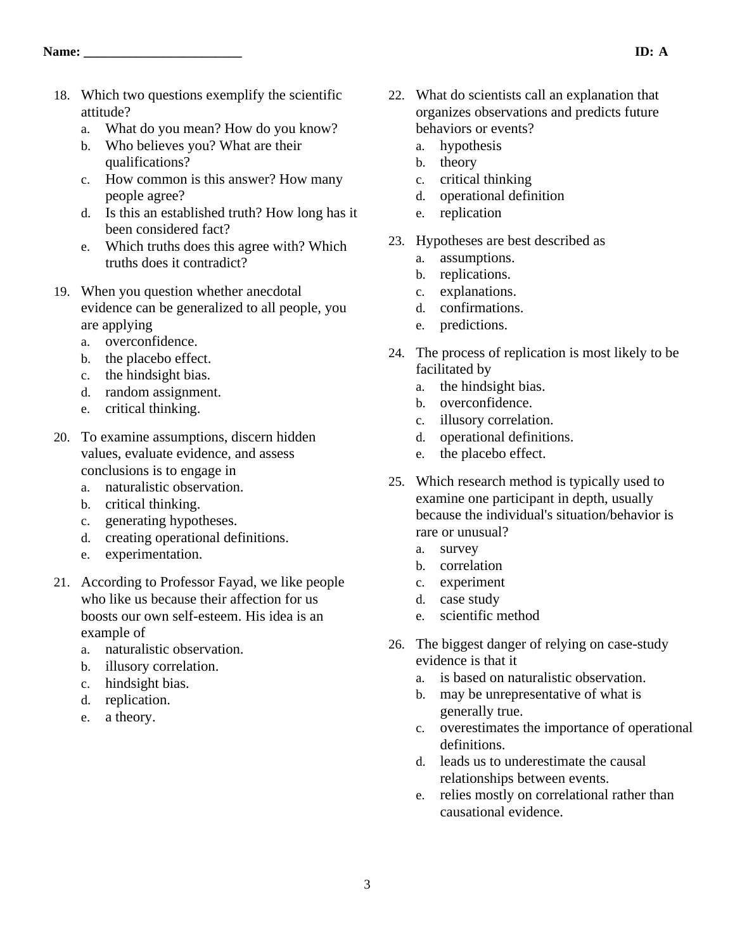- 18. Which two questions exemplify the scientific attitude?
	- a. What do you mean? How do you know?
	- b. Who believes you? What are their qualifications?
	- c. How common is this answer? How many people agree?
	- d. Is this an established truth? How long has it been considered fact?
	- e. Which truths does this agree with? Which truths does it contradict?
- 19. When you question whether anecdotal evidence can be generalized to all people, you are applying
	- a. overconfidence.
	- b. the placebo effect.
	- c. the hindsight bias.
	- d. random assignment.
	- e. critical thinking.
- 20. To examine assumptions, discern hidden values, evaluate evidence, and assess conclusions is to engage in
	- a. naturalistic observation.
	- b. critical thinking.
	- c. generating hypotheses.
	- d. creating operational definitions.
	- e. experimentation.
- 21. According to Professor Fayad, we like people who like us because their affection for us boosts our own self-esteem. His idea is an example of
	- a. naturalistic observation.
	- b. illusory correlation.
	- c. hindsight bias.
	- d. replication.
	- e. a theory.
- 22. What do scientists call an explanation that organizes observations and predicts future behaviors or events?
	- a. hypothesis
	- b. theory
	- c. critical thinking
	- d. operational definition
	- e. replication
- 23. Hypotheses are best described as
	- a. assumptions.
	- b. replications.
	- c. explanations.
	- d. confirmations.
	- e. predictions.
- 24. The process of replication is most likely to be facilitated by
	- a. the hindsight bias.
	- b. overconfidence.
	- c. illusory correlation.
	- d. operational definitions.
	- e. the placebo effect.
- 25. Which research method is typically used to examine one participant in depth, usually because the individual's situation/behavior is rare or unusual?
	- a. survey
	- b. correlation
	- c. experiment
	- d. case study
	- e. scientific method
- 26. The biggest danger of relying on case-study evidence is that it
	- a. is based on naturalistic observation.
	- b. may be unrepresentative of what is generally true.
	- c. overestimates the importance of operational definitions.
	- d. leads us to underestimate the causal relationships between events.
	- e. relies mostly on correlational rather than causational evidence.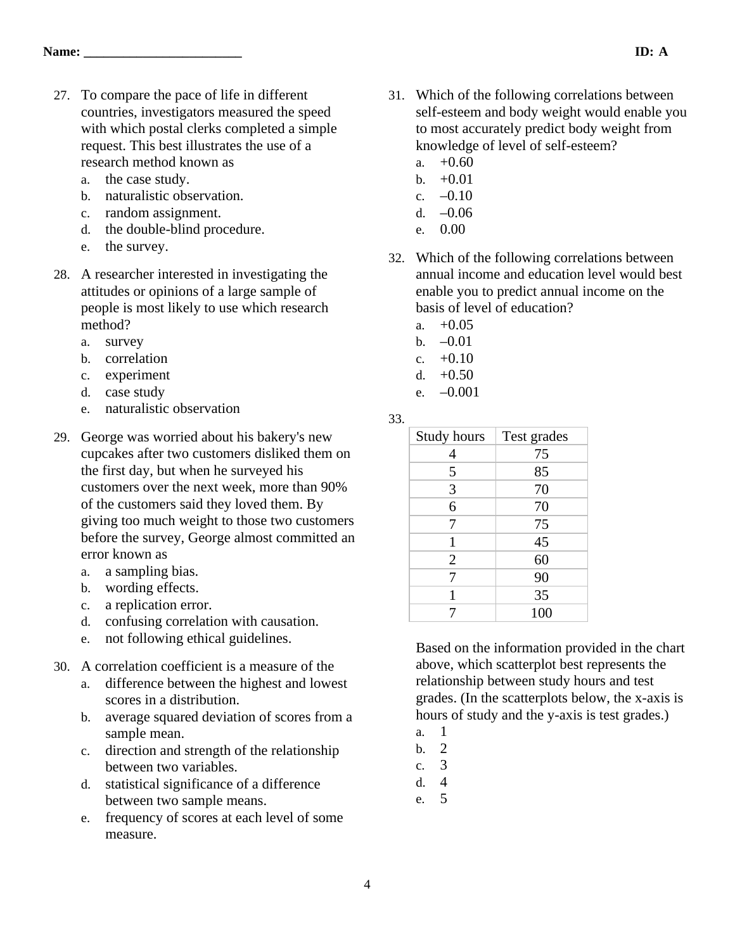- 27. To compare the pace of life in different countries, investigators measured the speed with which postal clerks completed a simple request. This best illustrates the use of a research method known as
	- a. the case study.
	- b. naturalistic observation.
	- c. random assignment.
	- d. the double-blind procedure.
	- e. the survey.
- 28. A researcher interested in investigating the attitudes or opinions of a large sample of people is most likely to use which research method?
	- a. survey
	- b. correlation
	- c. experiment
	- d. case study
	- e. naturalistic observation
- 29. George was worried about his bakery's new cupcakes after two customers disliked them on the first day, but when he surveyed his customers over the next week, more than 90% of the customers said they loved them. By giving too much weight to those two customers before the survey, George almost committed an error known as
	- a. a sampling bias.
	- b. wording effects.
	- c. a replication error.
	- d. confusing correlation with causation.
	- e. not following ethical guidelines.
- 30. A correlation coefficient is a measure of the
	- a. difference between the highest and lowest scores in a distribution.
	- b. average squared deviation of scores from a sample mean.
	- c. direction and strength of the relationship between two variables.
	- d. statistical significance of a difference between two sample means.
	- e. frequency of scores at each level of some measure.
- 31. Which of the following correlations between self-esteem and body weight would enable you to most accurately predict body weight from knowledge of level of self-esteem?
	- a.  $+0.60$
	- b.  $+0.01$
	- c.  $-0.10$
	- d.  $-0.06$
	- e. 0.00
- 32. Which of the following correlations between annual income and education level would best enable you to predict annual income on the basis of level of education?
	- a.  $+0.05$
	- b.  $-0.01$
	- c.  $+0.10$
	- d.  $+0.50$
	- e.  $-0.001$

33.

| Study hours    | Test grades |
|----------------|-------------|
|                | 75          |
| 5              | 85          |
| 3              | 70          |
| 6              | 70          |
| 7              | 75          |
|                | 45          |
| $\overline{2}$ | 60          |
|                | 90          |
|                | 35          |
|                | 100         |

Based on the information provided in the chart above, which scatterplot best represents the relationship between study hours and test grades. (In the scatterplots below, the x-axis is hours of study and the y-axis is test grades.)

- a. 1
- b. 2 c. 3
	-
- d. 4
- e. 5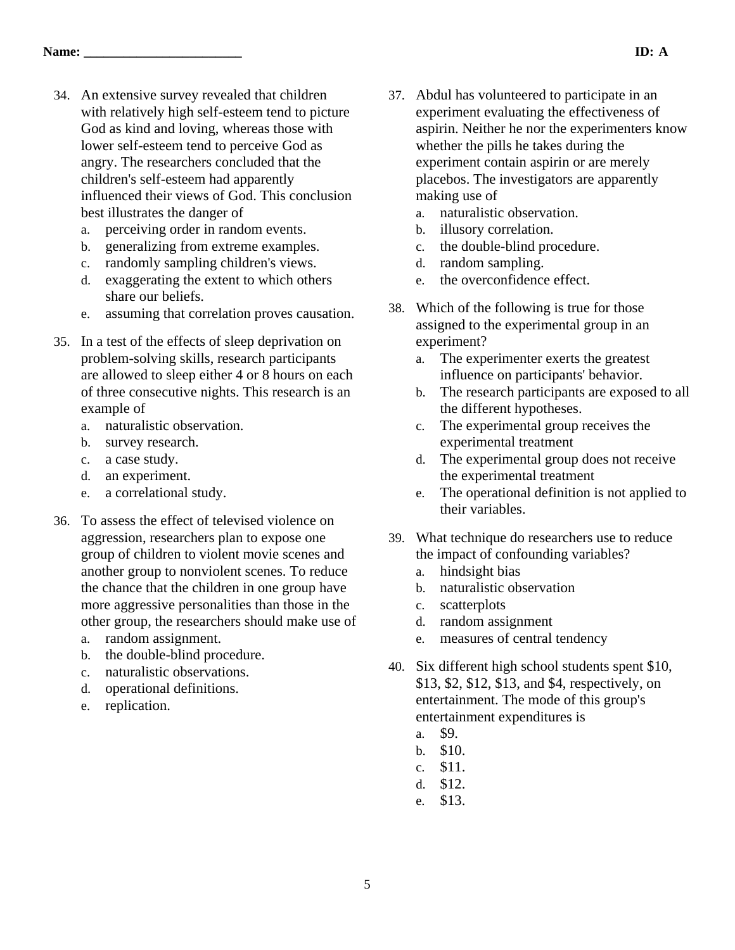- 34. An extensive survey revealed that children with relatively high self-esteem tend to picture God as kind and loving, whereas those with lower self-esteem tend to perceive God as angry. The researchers concluded that the children's self-esteem had apparently influenced their views of God. This conclusion best illustrates the danger of
	- a. perceiving order in random events.
	- b. generalizing from extreme examples.
	- c. randomly sampling children's views.
	- d. exaggerating the extent to which others share our beliefs.
	- e. assuming that correlation proves causation.
- 35. In a test of the effects of sleep deprivation on problem-solving skills, research participants are allowed to sleep either 4 or 8 hours on each of three consecutive nights. This research is an example of
	- a. naturalistic observation.
	- b. survey research.
	- c. a case study.
	- d. an experiment.
	- e. a correlational study.
- 36. To assess the effect of televised violence on aggression, researchers plan to expose one group of children to violent movie scenes and another group to nonviolent scenes. To reduce the chance that the children in one group have more aggressive personalities than those in the other group, the researchers should make use of
	- a. random assignment.
	- b. the double-blind procedure.
	- c. naturalistic observations.
	- d. operational definitions.
	- e. replication.
- 37. Abdul has volunteered to participate in an experiment evaluating the effectiveness of aspirin. Neither he nor the experimenters know whether the pills he takes during the experiment contain aspirin or are merely placebos. The investigators are apparently making use of
	- a. naturalistic observation.
	- b. illusory correlation.
	- c. the double-blind procedure.
	- d. random sampling.
	- e. the overconfidence effect.
- 38. Which of the following is true for those assigned to the experimental group in an experiment?
	- a. The experimenter exerts the greatest influence on participants' behavior.
	- b. The research participants are exposed to all the different hypotheses.
	- c. The experimental group receives the experimental treatment
	- d. The experimental group does not receive the experimental treatment
	- e. The operational definition is not applied to their variables.
- 39. What technique do researchers use to reduce the impact of confounding variables?
	- a. hindsight bias
	- b. naturalistic observation
	- c. scatterplots
	- d. random assignment
	- e. measures of central tendency
- 40. Six different high school students spent \$10, \$13, \$2, \$12, \$13, and \$4, respectively, on entertainment. The mode of this group's entertainment expenditures is
	- a. \$9.
	- b. \$10.
	- c. \$11.
	- d. \$12.
	- e. \$13.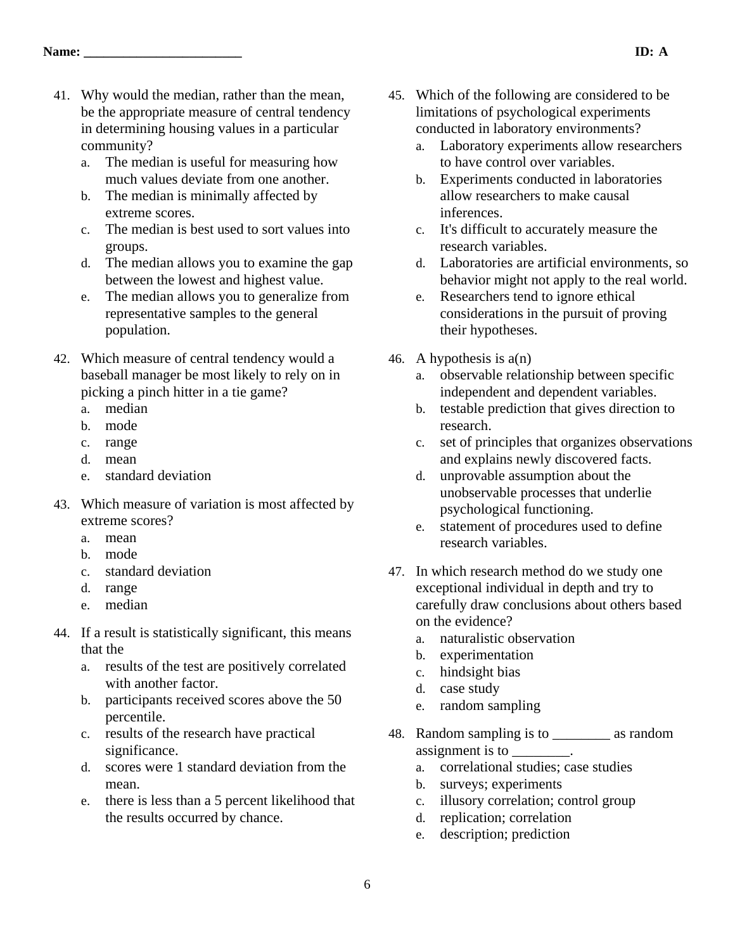- 41. Why would the median, rather than the mean, be the appropriate measure of central tendency in determining housing values in a particular community?
	- a. The median is useful for measuring how much values deviate from one another.
	- b. The median is minimally affected by extreme scores.
	- c. The median is best used to sort values into groups.
	- d. The median allows you to examine the gap between the lowest and highest value.
	- e. The median allows you to generalize from representative samples to the general population.
- 42. Which measure of central tendency would a baseball manager be most likely to rely on in picking a pinch hitter in a tie game?
	- a. median
	- b. mode
	- c. range
	- d. mean
	- e. standard deviation
- 43. Which measure of variation is most affected by extreme scores?
	- a. mean
	- b. mode
	- c. standard deviation
	- d. range
	- e. median
- 44. If a result is statistically significant, this means that the
	- a. results of the test are positively correlated with another factor.
	- b. participants received scores above the 50 percentile.
	- c. results of the research have practical significance.
	- d. scores were 1 standard deviation from the mean.
	- e. there is less than a 5 percent likelihood that the results occurred by chance.
- 45. Which of the following are considered to be limitations of psychological experiments conducted in laboratory environments?
	- a. Laboratory experiments allow researchers to have control over variables.
	- b. Experiments conducted in laboratories allow researchers to make causal inferences.
	- c. It's difficult to accurately measure the research variables.
	- d. Laboratories are artificial environments, so behavior might not apply to the real world.
	- e. Researchers tend to ignore ethical considerations in the pursuit of proving their hypotheses.
- 46. A hypothesis is a(n)
	- a. observable relationship between specific independent and dependent variables.
	- b. testable prediction that gives direction to research.
	- c. set of principles that organizes observations and explains newly discovered facts.
	- d. unprovable assumption about the unobservable processes that underlie psychological functioning.
	- e. statement of procedures used to define research variables.
- 47. In which research method do we study one exceptional individual in depth and try to carefully draw conclusions about others based on the evidence?
	- a. naturalistic observation
	- b. experimentation
	- c. hindsight bias
	- d. case study
	- e. random sampling
- 48. Random sampling is to \_\_\_\_\_\_\_\_ as random assignment is to
	- a. correlational studies; case studies
	- b. surveys; experiments
	- c. illusory correlation; control group
	- d. replication; correlation
	- e. description; prediction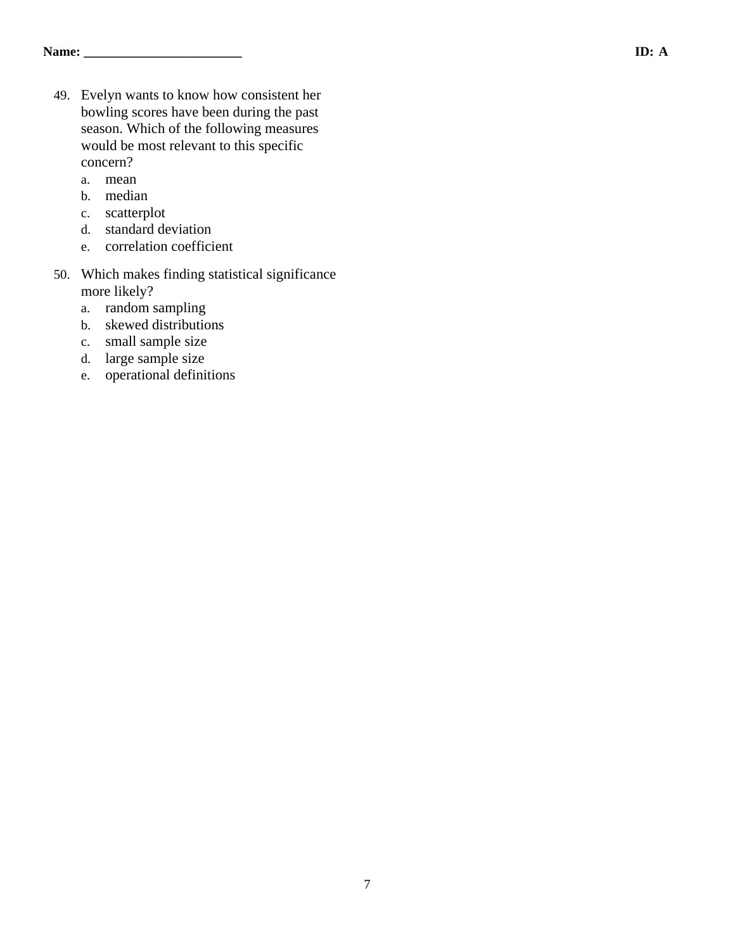- 49. Evelyn wants to know how consistent her bowling scores have been during the past season. Which of the following measures would be most relevant to this specific concern?
	- a. mean
	- b. median
	- c. scatterplot
	- d. standard deviation
	- e. correlation coefficient
- 50. Which makes finding statistical significance more likely?
	- a. random sampling
	- b. skewed distributions
	- c. small sample size
	- d. large sample size
	- e. operational definitions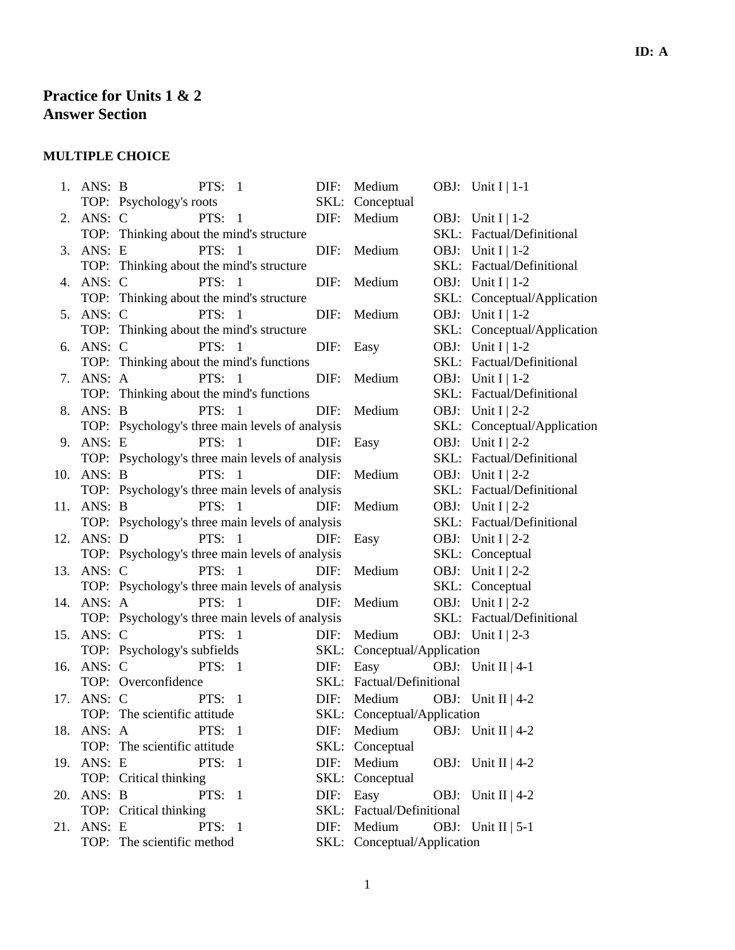# **Practice for Units 1 & 2 Answer Section**

# **MULTIPLE CHOICE**

|     | 1. ANS: B  | PTS: $1$<br>DIF:                                | Medium                      | OBJ: Unit $I \mid 1-1$      |
|-----|------------|-------------------------------------------------|-----------------------------|-----------------------------|
|     |            | TOP: Psychology's roots                         | SKL: Conceptual             |                             |
| 2.  | ANS: C     | PTS: $1$<br>DIF:                                | Medium                      | OBJ: Unit I   1-2           |
|     |            | TOP: Thinking about the mind's structure        |                             | SKL: Factual/Definitional   |
| 3.  | ANS: E     | <b>PTS: 1</b>                                   | DIF: Medium                 | OBJ: Unit I   1-2           |
|     |            | TOP: Thinking about the mind's structure        |                             | SKL: Factual/Definitional   |
| 4.  | ANS: C     | PTS: $1$<br>DIF:                                | Medium                      | OBJ: Unit I   1-2           |
|     |            | TOP: Thinking about the mind's structure        |                             | SKL: Conceptual/Application |
| 5.  | ANS: C     | PTS: $1$                                        | DIF: Medium                 | OBJ: Unit I   1-2           |
|     |            | TOP: Thinking about the mind's structure        |                             | SKL: Conceptual/Application |
|     | 6. ANS: C  | <b>PTS:</b> 1                                   | DIF: Easy                   | OBJ: Unit I   1-2           |
|     |            | TOP: Thinking about the mind's functions        |                             | SKL: Factual/Definitional   |
| 7.  | ANS: A     | PTS: $1$<br>DIF:                                | Medium                      | OBJ: Unit I   1-2           |
|     |            | TOP: Thinking about the mind's functions        |                             | SKL: Factual/Definitional   |
| 8.  | ANS: B     | PTS: 1<br>DIF:                                  | Medium                      | OBJ: Unit I   2-2           |
|     |            | TOP: Psychology's three main levels of analysis |                             | SKL: Conceptual/Application |
| 9.  | ANS: E     | <b>PTS: 1</b><br>DIF:                           | Easy                        | OBJ: Unit I   2-2           |
|     |            | TOP: Psychology's three main levels of analysis |                             | SKL: Factual/Definitional   |
|     | 10. ANS: B | PTS: $1$<br>DIF:                                | Medium                      | OBJ: Unit I   2-2           |
|     |            | TOP: Psychology's three main levels of analysis |                             | SKL: Factual/Definitional   |
| 11. | ANS: B     | <b>PTS:</b> 1<br>DIF:                           | Medium                      | OBJ: Unit I   2-2           |
|     |            | TOP: Psychology's three main levels of analysis |                             | SKL: Factual/Definitional   |
|     | 12. ANS: D | <b>PTS: 1</b><br>DIF:                           | Easy                        | OBJ: Unit I   2-2           |
|     |            | TOP: Psychology's three main levels of analysis |                             | SKL: Conceptual             |
| 13. | ANS: C     | PTS: $1$<br>DIF:                                | Medium                      | OBJ: Unit I   2-2           |
|     |            | TOP: Psychology's three main levels of analysis |                             | SKL: Conceptual             |
|     | 14. ANS: A | <b>PTS: 1</b><br>DIF:                           | Medium                      | OBJ: Unit I   2-2           |
|     |            | TOP: Psychology's three main levels of analysis |                             | SKL: Factual/Definitional   |
| 15. | ANS: C     | PTS: $1$<br>DIF:                                | Medium                      | OBJ: Unit I   2-3           |
|     |            | TOP: Psychology's subfields<br>SKL:             | Conceptual/Application      |                             |
|     | 16. ANS: C | <b>PTS:</b> 1<br>DIF:                           | Easy OBJ: Unit II   4-1     |                             |
|     |            | TOP: Overconfidence                             | SKL: Factual/Definitional   |                             |
| 17. |            | ANS: C PTS: 1<br>DIF:                           | Medium OBJ: Unit II   $4-2$ |                             |
|     |            | TOP: The scientific attitude                    | SKL: Conceptual/Application |                             |
|     | 18. ANS: A | PTS: $1$                                        | DIF: Medium                 | OBJ: Unit II   4-2          |
|     |            | TOP: The scientific attitude                    | SKL: Conceptual             |                             |
|     | 19. ANS: E | PTS: $1$<br>DIF:                                | Medium                      | OBJ: Unit II   $4-2$        |
|     |            | TOP: Critical thinking<br>SKL:                  | Conceptual                  |                             |
| 20. | ANS: B     | PTS: 1<br>DIF:                                  | Easy                        | OBJ: Unit II   4-2          |
|     |            | TOP: Critical thinking<br>SKL:                  | Factual/Definitional        |                             |
| 21. | ANS: E     | PTS: 1<br>DIF:                                  | Medium                      | OBJ: Unit II   $5-1$        |
|     |            | TOP: The scientific method                      | SKL: Conceptual/Application |                             |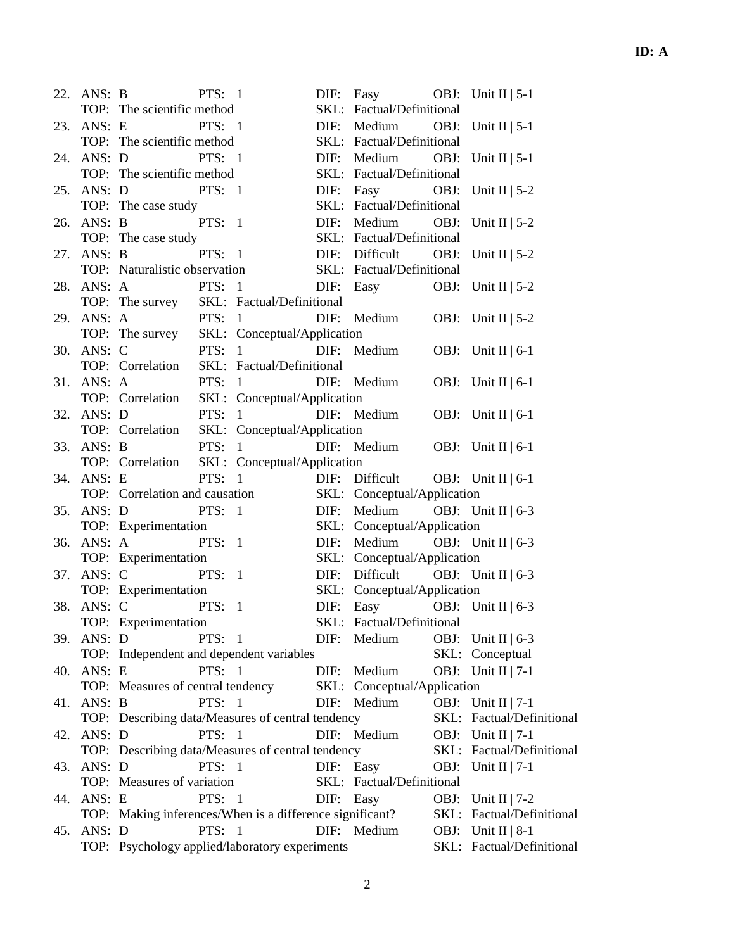|     | 22. ANS: B |                                                          | PTS: $1$      |               |               | DIF: Easy OBJ: Unit II   5-1            |                           |
|-----|------------|----------------------------------------------------------|---------------|---------------|---------------|-----------------------------------------|---------------------------|
|     |            | TOP: The scientific method                               |               |               |               | SKL: Factual/Definitional               |                           |
|     | 23. ANS: E | <b>PTS:</b> 1                                            |               |               |               | DIF: Medium OBJ: Unit II   5-1          |                           |
|     |            | TOP: The scientific method                               |               |               |               | SKL: Factual/Definitional               |                           |
|     |            | 24. ANS: D PTS: 1                                        |               |               |               | DIF: Medium OBJ: Unit II   5-1          |                           |
|     |            | TOP: The scientific method                               |               |               |               | SKL: Factual/Definitional               |                           |
|     | 25. ANS: D | <b>PTS:</b> 1                                            |               |               | $\text{DIF:}$ | Easy OBJ: Unit II   $5-2$               |                           |
|     |            | TOP: The case study                                      |               |               |               | SKL: Factual/Definitional               |                           |
|     |            | 26. ANS: B PTS: 1                                        |               |               |               | DIF: Medium OBJ: Unit II   5-2          |                           |
|     |            | TOP: The case study                                      |               |               |               | SKL: Factual/Definitional               |                           |
|     | 27. ANS: B | <b>PTS:</b> 1                                            |               |               |               | DIF: Difficult OBJ: Unit II   $5-2$     |                           |
|     |            | TOP: Naturalistic observation                            |               |               |               | SKL: Factual/Definitional               |                           |
|     | 28. ANS: A |                                                          |               | <b>PTS:</b> 1 |               | DIF: Easy OBJ: Unit II   $5-2$          |                           |
|     |            | TOP: The survey SKL: Factual/Definitional                |               |               |               |                                         |                           |
|     | 29. ANS: A | <b>PTS:</b> 1                                            |               |               |               | DIF: Medium OBJ: Unit II   $5-2$        |                           |
|     |            | TOP: The survey SKL: Conceptual/Application              |               |               |               |                                         |                           |
|     | 30. ANS: C |                                                          |               | PTS: 1        |               | DIF: Medium                             | OBJ: Unit II $ 6-1 $      |
|     |            | TOP: Correlation SKL: Factual/Definitional               |               |               |               |                                         |                           |
|     | 31. ANS: A |                                                          | PTS: $1$      |               |               | DIF: Medium OBJ: Unit II $ 6-1 $        |                           |
|     |            | TOP: Correlation SKL: Conceptual/Application             |               |               |               |                                         |                           |
|     | 32. ANS: D |                                                          |               | <b>PTS:</b> 1 |               | DIF: Medium                             | OBJ: Unit II $ 6-1 $      |
|     |            | TOP: Correlation SKL: Conceptual/Application             |               |               |               |                                         |                           |
|     | 33. ANS: B |                                                          |               | PTS: 1        |               | DIF: Medium OBJ: Unit II $ 6-1 $        |                           |
|     |            | TOP: Correlation SKL: Conceptual/Application             |               |               |               |                                         |                           |
|     | 34. ANS: E |                                                          | PTS: $1$      |               |               | DIF: Difficult OBJ: Unit II $ 6-1 $     |                           |
|     |            | TOP: Correlation and causation                           |               |               |               | SKL: Conceptual/Application             |                           |
|     | 35. ANS: D |                                                          | PTS: 1        |               |               | DIF: Medium OBJ: Unit II $6-3$          |                           |
|     |            | TOP: Experimentation                                     |               |               |               | SKL: Conceptual/Application             |                           |
|     | 36. ANS: A | <b>PTS:</b> 1                                            |               |               | DIF:          | Medium OBJ: Unit II $\vert 6-3 \rangle$ |                           |
|     |            | TOP: Experimentation                                     |               |               |               | SKL: Conceptual/Application             |                           |
|     |            | 37. ANS: C PTS: 1                                        |               |               |               | DIF: Difficult OBJ: Unit II $ 6-3 $     |                           |
|     |            | TOP: Experimentation                                     |               |               |               | SKL: Conceptual/Application             |                           |
|     | 38. ANS: C | <b>PTS:</b> 1                                            |               |               |               | DIF: Easy OBJ: Unit II $6-3$            |                           |
|     |            | TOP: Experimentation                                     |               |               |               | SKL: Factual/Definitional               |                           |
|     | 39. ANS: D |                                                          | PTS: $1$      |               |               | DIF: Medium                             | OBJ: Unit II $\vert$ 6-3  |
|     |            | TOP: Independent and dependent variables                 |               |               |               |                                         | SKL: Conceptual           |
|     | 40. ANS: E |                                                          | PTS: $1$      |               |               | DIF: Medium                             | OBJ: Unit II   7-1        |
|     |            | TOP: Measures of central tendency                        |               |               |               | SKL: Conceptual/Application             |                           |
|     |            |                                                          | PTS: 1        |               |               | DIF: Medium                             |                           |
|     | 41. ANS: B |                                                          |               |               |               |                                         | OBJ: Unit II   $7-1$      |
|     |            | TOP: Describing data/Measures of central tendency        |               |               |               |                                         | SKL: Factual/Definitional |
| 42. | ANS: D     |                                                          | <b>PTS: 1</b> |               |               | DIF: Medium                             | OBJ: Unit II   $7-1$      |
|     |            | TOP: Describing data/Measures of central tendency        |               |               |               |                                         | SKL: Factual/Definitional |
| 43. | ANS: D     |                                                          | PTS: 1        |               |               | DIF: Easy                               | OBJ: Unit II   $7-1$      |
|     |            | TOP: Measures of variation                               |               |               |               | SKL: Factual/Definitional               |                           |
| 44. | ANS: E     |                                                          | PTS: $1$      |               | DIF: Easy     |                                         | OBJ: Unit II   $7-2$      |
|     |            | TOP: Making inferences/When is a difference significant? |               |               |               |                                         | SKL: Factual/Definitional |
| 45. | ANS: D     |                                                          | PTS: 1        |               |               | DIF: Medium                             | OBJ: Unit II   8-1        |
|     |            | TOP: Psychology applied/laboratory experiments           |               |               |               |                                         | SKL: Factual/Definitional |